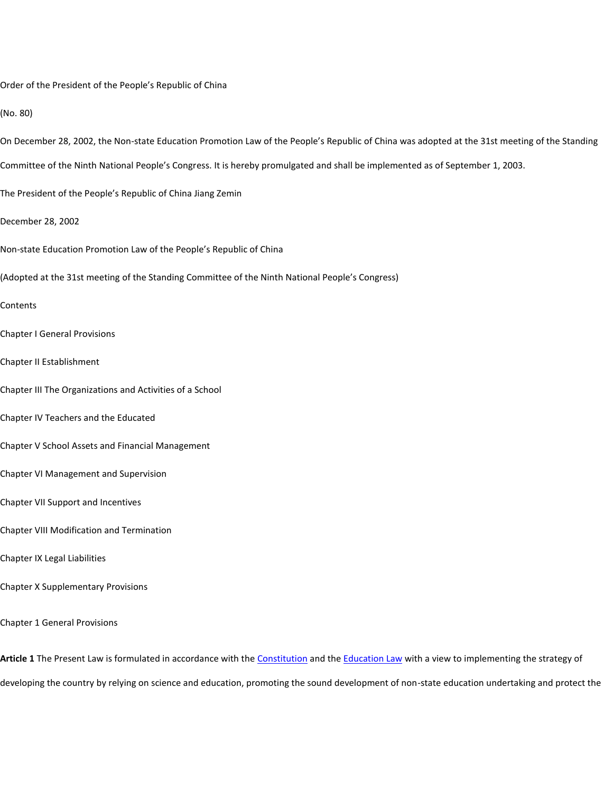Order of the President of the People's Republic of China

(No. 80)

- On December 28, 2002, the Non-state Education Promotion Law of the People's Republic of China was adopted at the 31st meeting of the Standing
- Committee of the Ninth National People's Congress. It is hereby promulgated and shall be implemented as of September 1, 2003.
- The President of the People's Republic of China Jiang Zemin
- December 28, 2002
- Non-state Education Promotion Law of the People's Republic of China
- (Adopted at the 31st meeting of the Standing Committee of the Ninth National People's Congress)

## Contents

- Chapter I General Provisions
- Chapter II Establishment
- Chapter III The Organizations and Activities of a School
- Chapter IV Teachers and the Educated
- Chapter V School Assets and Financial Management
- Chapter VI Management and Supervision
- Chapter VII Support and Incentives
- Chapter VIII Modification and Termination
- Chapter IX Legal Liabilities
- Chapter X Supplementary Provisions
- Chapter 1 General Provisions

**Article 1** The Present Law is formulated in accordance with the [Constitution](javascript:ESLC(46441,0)) and the [Education Law](javascript:ESLC(10947,0)) with a view to implementing the strategy of developing the country by relying on science and education, promoting the sound development of non-state education undertaking and protect the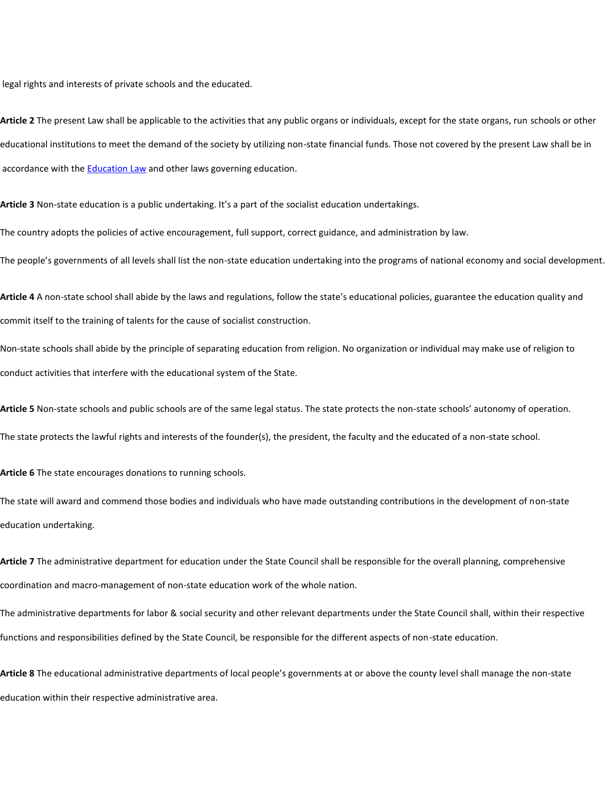legal rights and interests of private schools and the educated.

**Article 2** The present Law shall be applicable to the activities that any public organs or individuals, except for the state organs, run schools or other educational institutions to meet the demand of the society by utilizing non-state financial funds. Those not covered by the present Law shall be in accordance with the [Education Law](javascript:ESLC(10947,0)) and other laws governing education.

**Article 3** Non-state education is a public undertaking. It's a part of the socialist education undertakings.

The country adopts the policies of active encouragement, full support, correct guidance, and administration by law.

The people's governments of all levels shall list the non-state education undertaking into the programs of national economy and social development.

**Article 4** A non-state school shall abide by the laws and regulations, follow the state's educational policies, guarantee the education quality and commit itself to the training of talents for the cause of socialist construction.

Non-state schools shall abide by the principle of separating education from religion. No organization or individual may make use of religion to conduct activities that interfere with the educational system of the State.

**Article 5** Non-state schools and public schools are of the same legal status. The state protects the non-state schools' autonomy of operation.

The state protects the lawful rights and interests of the founder(s), the president, the faculty and the educated of a non-state school.

**Article 6** The state encourages donations to running schools.

The state will award and commend those bodies and individuals who have made outstanding contributions in the development of non-state education undertaking.

**Article 7** The administrative department for education under the State Council shall be responsible for the overall planning, comprehensive coordination and macro-management of non-state education work of the whole nation.

The administrative departments for labor & social security and other relevant departments under the State Council shall, within their respective functions and responsibilities defined by the State Council, be responsible for the different aspects of non-state education.

**Article 8** The educational administrative departments of local people's governments at or above the county level shall manage the non-state education within their respective administrative area.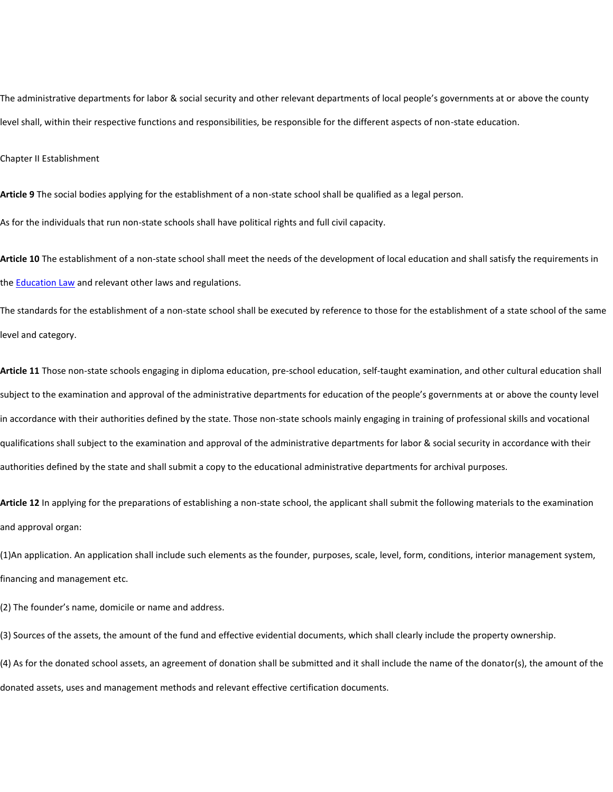The administrative departments for labor & social security and other relevant departments of local people's governments at or above the county level shall, within their respective functions and responsibilities, be responsible for the different aspects of non-state education.

Chapter II Establishment

**Article 9** The social bodies applying for the establishment of a non-state school shall be qualified as a legal person.

As for the individuals that run non-state schools shall have political rights and full civil capacity.

**Article 10** The establishment of a non-state school shall meet the needs of the development of local education and shall satisfy the requirements in the [Education Law](javascript:ESLC(10947,0)) and relevant other laws and regulations.

The standards for the establishment of a non-state school shall be executed by reference to those for the establishment of a state school of the same level and category.

**Article 11** Those non-state schools engaging in diploma education, pre-school education, self-taught examination, and other cultural education shall subject to the examination and approval of the administrative departments for education of the people's governments at or above the county level in accordance with their authorities defined by the state. Those non-state schools mainly engaging in training of professional skills and vocational qualifications shall subject to the examination and approval of the administrative departments for labor & social security in accordance with their authorities defined by the state and shall submit a copy to the educational administrative departments for archival purposes.

**Article 12** In applying for the preparations of establishing a non-state school, the applicant shall submit the following materials to the examination and approval organ:

(1)An application. An application shall include such elements as the founder, purposes, scale, level, form, conditions, interior management system, financing and management etc.

(2) The founder's name, domicile or name and address.

(3) Sources of the assets, the amount of the fund and effective evidential documents, which shall clearly include the property ownership.

(4) As for the donated school assets, an agreement of donation shall be submitted and it shall include the name of the donator(s), the amount of the donated assets, uses and management methods and relevant effective certification documents.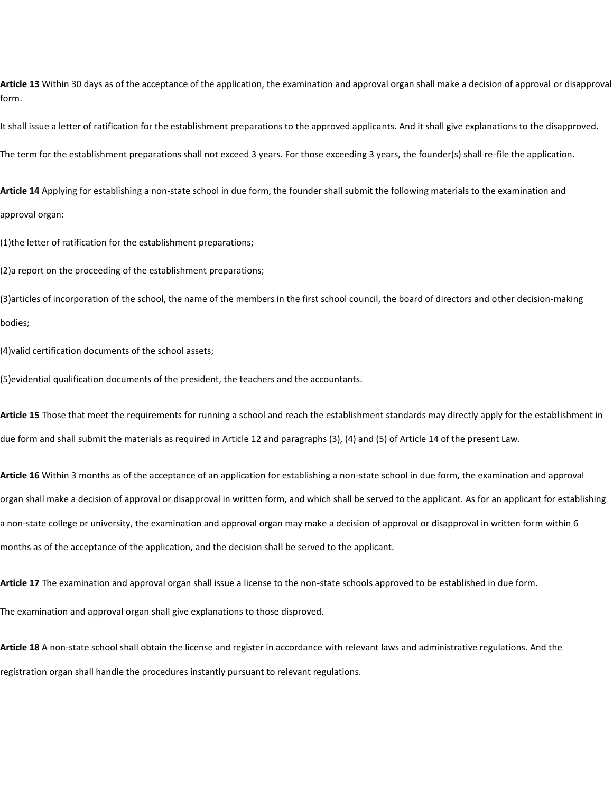Article 13 Within 30 days as of the acceptance of the application, the examination and approval organ shall make a decision of approval or disapproval form.

It shall issue a letter of ratification for the establishment preparations to the approved applicants. And it shall give explanations to the disapproved. The term for the establishment preparations shall not exceed 3 years. For those exceeding 3 years, the founder(s) shall re-file the application.

**Article 14** Applying for establishing a non-state school in due form, the founder shall submit the following materials to the examination and approval organ:

(1)the letter of ratification for the establishment preparations;

(2)a report on the proceeding of the establishment preparations;

(3)articles of incorporation of the school, the name of the members in the first school council, the board of directors and other decision-making bodies;

(4)valid certification documents of the school assets;

(5)evidential qualification documents of the president, the teachers and the accountants.

**Article 15** Those that meet the requirements for running a school and reach the establishment standards may directly apply for the establishment in due form and shall submit the materials as required in Article 12 and paragraphs (3), (4) and (5) of Article 14 of the present Law.

**Article 16** Within 3 months as of the acceptance of an application for establishing a non-state school in due form, the examination and approval organ shall make a decision of approval or disapproval in written form, and which shall be served to the applicant. As for an applicant for establishing a non-state college or university, the examination and approval organ may make a decision of approval or disapproval in written form within 6 months as of the acceptance of the application, and the decision shall be served to the applicant.

**Article 17** The examination and approval organ shall issue a license to the non-state schools approved to be established in due form. The examination and approval organ shall give explanations to those disproved.

**Article 18** A non-state school shall obtain the license and register in accordance with relevant laws and administrative regulations. And the registration organ shall handle the procedures instantly pursuant to relevant regulations.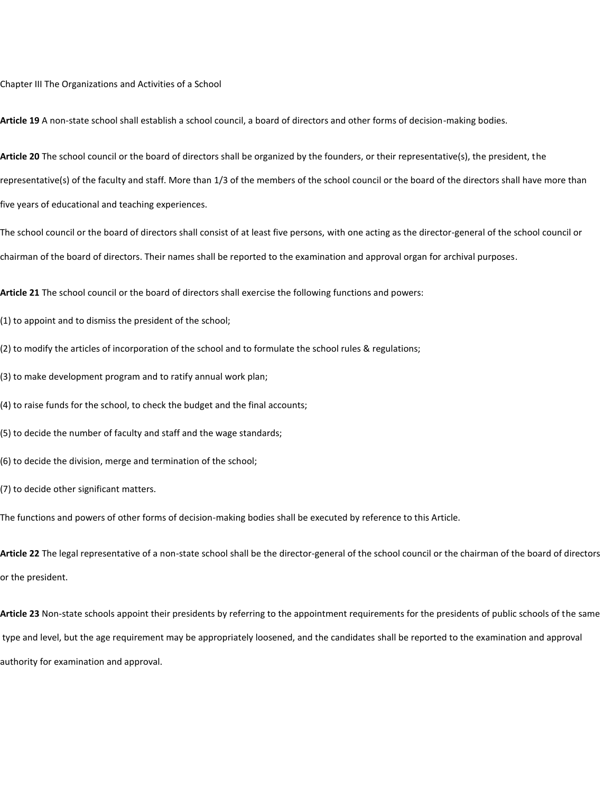Chapter III The Organizations and Activities of a School

**Article 19** A non-state school shall establish a school council, a board of directors and other forms of decision-making bodies.

**Article 20** The school council or the board of directors shall be organized by the founders, or their representative(s), the president, the representative(s) of the faculty and staff. More than 1/3 of the members of the school council or the board of the directors shall have more than five years of educational and teaching experiences.

The school council or the board of directors shall consist of at least five persons, with one acting as the director-general of the school council or chairman of the board of directors. Their names shall be reported to the examination and approval organ for archival purposes.

**Article 21** The school council or the board of directors shall exercise the following functions and powers:

(1) to appoint and to dismiss the president of the school;

(2) to modify the articles of incorporation of the school and to formulate the school rules & regulations;

(3) to make development program and to ratify annual work plan;

(4) to raise funds for the school, to check the budget and the final accounts;

(5) to decide the number of faculty and staff and the wage standards;

(6) to decide the division, merge and termination of the school;

(7) to decide other significant matters.

The functions and powers of other forms of decision-making bodies shall be executed by reference to this Article.

**Article 22** The legal representative of a non-state school shall be the director-general of the school council or the chairman of the board of directors or the president.

**Article 23** Non-state schools appoint their presidents by referring to the appointment requirements for the presidents of public schools of the same type and level, but the age requirement may be appropriately loosened, and the candidates shall be reported to the examination and approval authority for examination and approval.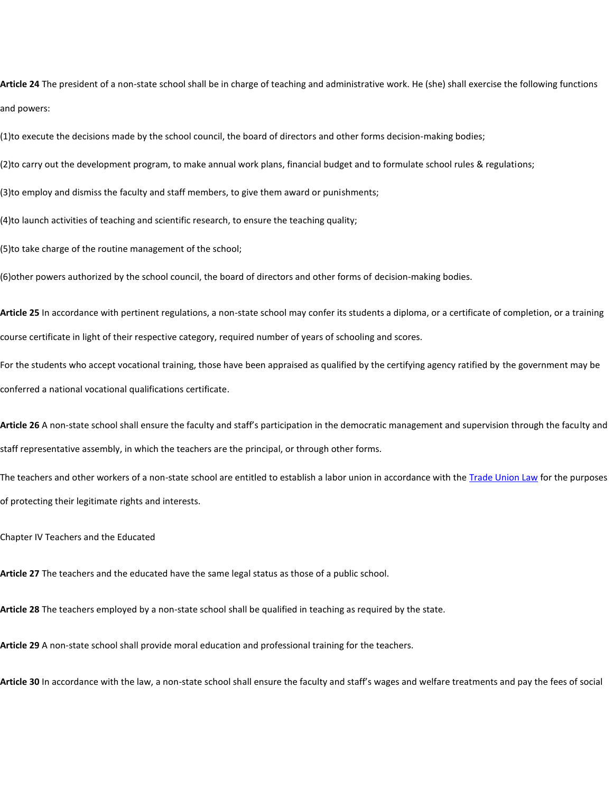**Article 24** The president of a non-state school shall be in charge of teaching and administrative work. He (she) shall exercise the following functions and powers:

(1)to execute the decisions made by the school council, the board of directors and other forms decision-making bodies;

(2)to carry out the development program, to make annual work plans, financial budget and to formulate school rules & regulations;

(3)to employ and dismiss the faculty and staff members, to give them award or punishments;

(4)to launch activities of teaching and scientific research, to ensure the teaching quality;

(5)to take charge of the routine management of the school;

(6)other powers authorized by the school council, the board of directors and other forms of decision-making bodies.

**Article 25** In accordance with pertinent regulations, a non-state school may confer its students a diploma, or a certificate of completion, or a training course certificate in light of their respective category, required number of years of schooling and scores.

For the students who accept vocational training, those have been appraised as qualified by the certifying agency ratified by the government may be conferred a national vocational qualifications certificate.

**Article 26** A non-state school shall ensure the faculty and staff's participation in the democratic management and supervision through the faculty and staff representative assembly, in which the teachers are the principal, or through other forms.

The teachers and other workers of a non-state school are entitled to establish a labor union in accordance with the [Trade Union Law](javascript:ESLC(37083,0)) for the purposes of protecting their legitimate rights and interests.

Chapter IV Teachers and the Educated

**Article 27** The teachers and the educated have the same legal status as those of a public school.

**Article 28** The teachers employed by a non-state school shall be qualified in teaching as required by the state.

**Article 29** A non-state school shall provide moral education and professional training for the teachers.

**Article 30** In accordance with the law, a non-state school shall ensure the faculty and staff's wages and welfare treatments and pay the fees of social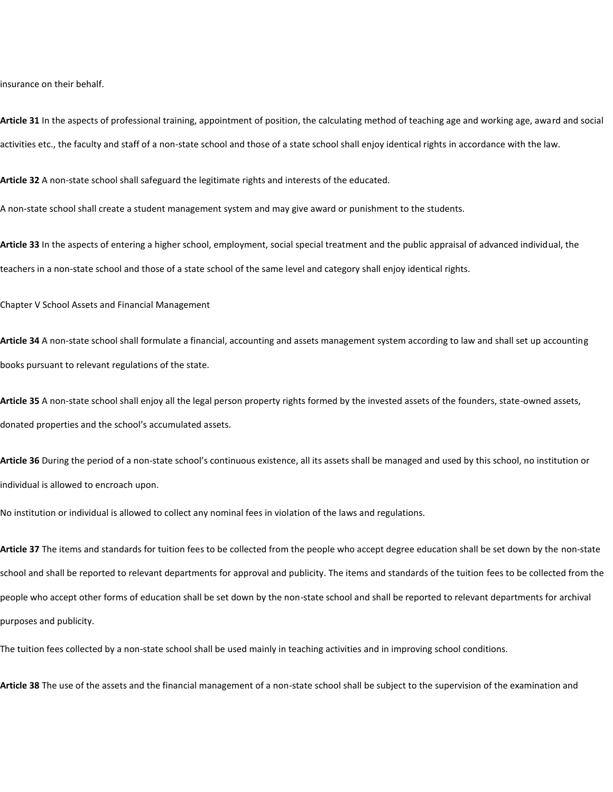insurance on their behalf.

**Article 31** In the aspects of professional training, appointment of position, the calculating method of teaching age and working age, award and social activities etc., the faculty and staff of a non-state school and those of a state school shall enjoy identical rights in accordance with the law.

**Article 32** A non-state school shall safeguard the legitimate rights and interests of the educated.

A non-state school shall create a student management system and may give award or punishment to the students.

**Article 33** In the aspects of entering a higher school, employment, social special treatment and the public appraisal of advanced individual, the teachers in a non-state school and those of a state school of the same level and category shall enjoy identical rights.

Chapter V School Assets and Financial Management

**Article 34** A non-state school shall formulate a financial, accounting and assets management system according to law and shall set up accounting books pursuant to relevant regulations of the state.

**Article 35** A non-state school shall enjoy all the legal person property rights formed by the invested assets of the founders, state-owned assets, donated properties and the school's accumulated assets.

**Article 36** During the period of a non-state school's continuous existence, all its assets shall be managed and used by this school, no institution or individual is allowed to encroach upon.

No institution or individual is allowed to collect any nominal fees in violation of the laws and regulations.

**Article 37** The items and standards for tuition fees to be collected from the people who accept degree education shall be set down by the non-state school and shall be reported to relevant departments for approval and publicity. The items and standards of the tuition fees to be collected from the people who accept other forms of education shall be set down by the non-state school and shall be reported to relevant departments for archival purposes and publicity.

The tuition fees collected by a non-state school shall be used mainly in teaching activities and in improving school conditions.

**Article 38** The use of the assets and the financial management of a non-state school shall be subject to the supervision of the examination and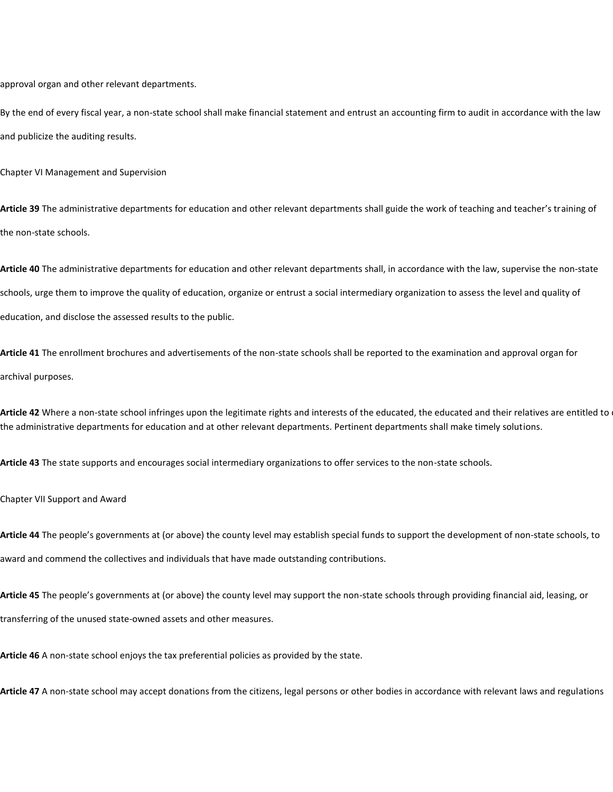approval organ and other relevant departments.

By the end of every fiscal year, a non-state school shall make financial statement and entrust an accounting firm to audit in accordance with the law and publicize the auditing results.

Chapter VI Management and Supervision

**Article 39** The administrative departments for education and other relevant departments shall guide the work of teaching and teacher's training of the non-state schools.

**Article 40** The administrative departments for education and other relevant departments shall, in accordance with the law, supervise the non-state schools, urge them to improve the quality of education, organize or entrust a social intermediary organization to assess the level and quality of education, and disclose the assessed results to the public.

**Article 41** The enrollment brochures and advertisements of the non-state schools shall be reported to the examination and approval organ for archival purposes.

Article 42 Where a non-state school infringes upon the legitimate rights and interests of the educated, the educated and their relatives are entitled to the administrative departments for education and at other relevant departments. Pertinent departments shall make timely solutions.

**Article 43** The state supports and encourages social intermediary organizations to offer services to the non-state schools.

Chapter VII Support and Award

**Article 44** The people's governments at (or above) the county level may establish special funds to support the development of non-state schools, to award and commend the collectives and individuals that have made outstanding contributions.

**Article 45** The people's governments at (or above) the county level may support the non-state schools through providing financial aid, leasing, or transferring of the unused state-owned assets and other measures.

**Article 46** A non-state school enjoys the tax preferential policies as provided by the state.

**Article 47** A non-state school may accept donations from the citizens, legal persons or other bodies in accordance with relevant laws and regulations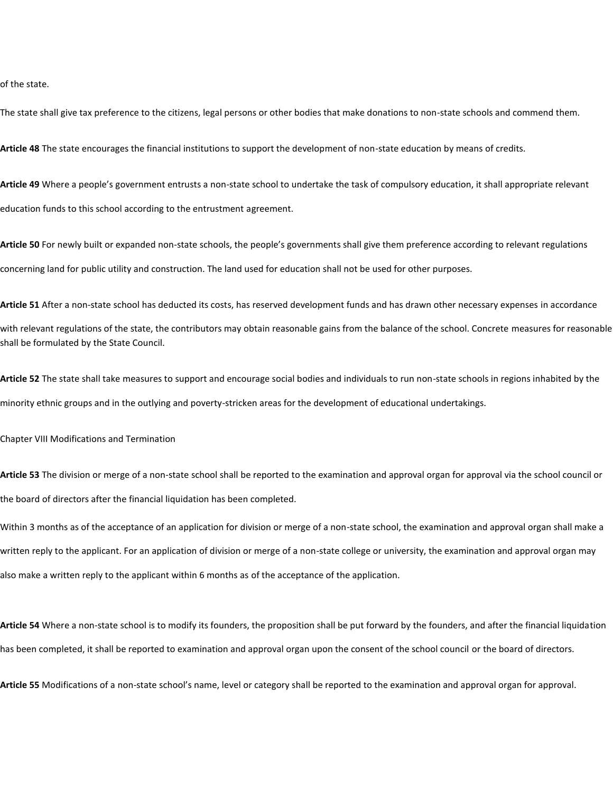of the state.

The state shall give tax preference to the citizens, legal persons or other bodies that make donations to non-state schools and commend them.

**Article 48** The state encourages the financial institutions to support the development of non-state education by means of credits.

**Article 49** Where a people's government entrusts a non-state school to undertake the task of compulsory education, it shall appropriate relevant education funds to this school according to the entrustment agreement.

**Article 50** For newly built or expanded non-state schools, the people's governments shall give them preference according to relevant regulations concerning land for public utility and construction. The land used for education shall not be used for other purposes.

**Article 51** After a non-state school has deducted its costs, has reserved development funds and has drawn other necessary expenses in accordance with relevant regulations of the state, the contributors may obtain reasonable gains from the balance of the school. Concrete measures for reasonable shall be formulated by the State Council.

**Article 52** The state shall take measures to support and encourage social bodies and individuals to run non-state schools in regions inhabited by the minority ethnic groups and in the outlying and poverty-stricken areas for the development of educational undertakings.

Chapter VIII Modifications and Termination

**Article 53** The division or merge of a non-state school shall be reported to the examination and approval organ for approval via the school council or the board of directors after the financial liquidation has been completed.

Within 3 months as of the acceptance of an application for division or merge of a non-state school, the examination and approval organ shall make a written reply to the applicant. For an application of division or merge of a non-state college or university, the examination and approval organ may also make a written reply to the applicant within 6 months as of the acceptance of the application.

**Article 54** Where a non-state school is to modify its founders, the proposition shall be put forward by the founders, and after the financial liquidation has been completed, it shall be reported to examination and approval organ upon the consent of the school council or the board of directors.

**Article 55** Modifications of a non-state school's name, level or category shall be reported to the examination and approval organ for approval.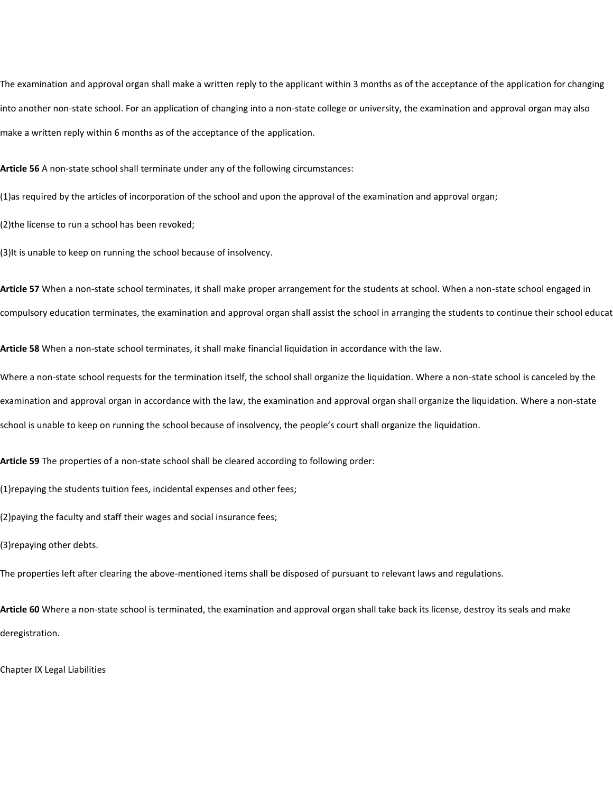The examination and approval organ shall make a written reply to the applicant within 3 months as of the acceptance of the application for changing into another non-state school. For an application of changing into a non-state college or university, the examination and approval organ may also make a written reply within 6 months as of the acceptance of the application.

**Article 56** A non-state school shall terminate under any of the following circumstances:

(1)as required by the articles of incorporation of the school and upon the approval of the examination and approval organ;

(2)the license to run a school has been revoked;

(3)It is unable to keep on running the school because of insolvency.

**Article 57** When a non-state school terminates, it shall make proper arrangement for the students at school. When a non-state school engaged in compulsory education terminates, the examination and approval organ shall assist the school in arranging the students to continue their school educat

**Article 58** When a non-state school terminates, it shall make financial liquidation in accordance with the law.

Where a non-state school requests for the termination itself, the school shall organize the liquidation. Where a non-state school is canceled by the examination and approval organ in accordance with the law, the examination and approval organ shall organize the liquidation. Where a non-state school is unable to keep on running the school because of insolvency, the people's court shall organize the liquidation.

**Article 59** The properties of a non-state school shall be cleared according to following order:

(1)repaying the students tuition fees, incidental expenses and other fees;

(2)paying the faculty and staff their wages and social insurance fees;

(3)repaying other debts.

The properties left after clearing the above-mentioned items shall be disposed of pursuant to relevant laws and regulations.

**Article 60** Where a non-state school is terminated, the examination and approval organ shall take back its license, destroy its seals and make deregistration.

Chapter IX Legal Liabilities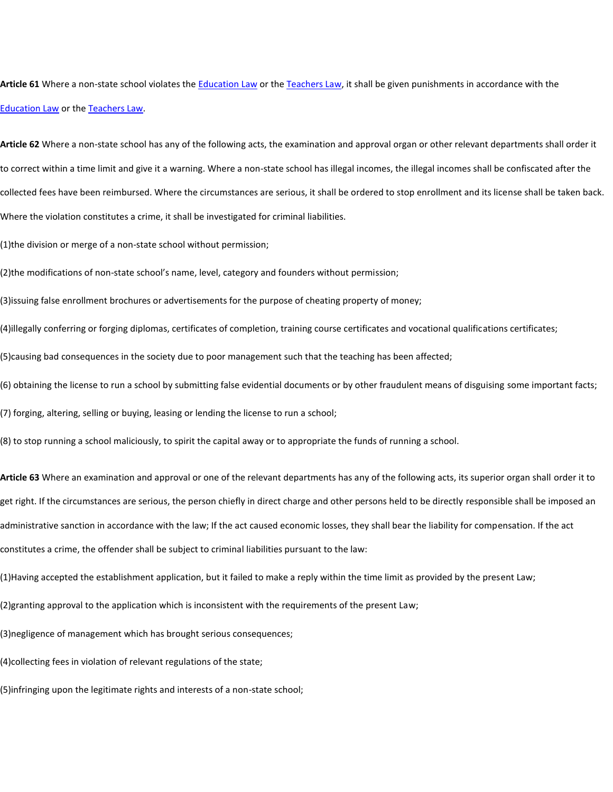**Article 61** Where a non-state school violates the [Education Law](javascript:ESLC(10947,0)) or th[e Teachers Law,](javascript:ESLC(6385,0)) it shall be given punishments in accordance with the [Education Law](javascript:ESLC(10947,0)) or the [Teachers Law.](javascript:ESLC(6385,0))

**Article 62** Where a non-state school has any of the following acts, the examination and approval organ or other relevant departments shall order it to correct within a time limit and give it a warning. Where a non-state school has illegal incomes, the illegal incomes shall be confiscated after the collected fees have been reimbursed. Where the circumstances are serious, it shall be ordered to stop enrollment and its license shall be taken back. Where the violation constitutes a crime, it shall be investigated for criminal liabilities.

(1)the division or merge of a non-state school without permission;

(2)the modifications of non-state school's name, level, category and founders without permission;

(3)issuing false enrollment brochures or advertisements for the purpose of cheating property of money;

(4)illegally conferring or forging diplomas, certificates of completion, training course certificates and vocational qualifications certificates;

(5)causing bad consequences in the society due to poor management such that the teaching has been affected;

(6) obtaining the license to run a school by submitting false evidential documents or by other fraudulent means of disguising some important facts;

(7) forging, altering, selling or buying, leasing or lending the license to run a school;

(8) to stop running a school maliciously, to spirit the capital away or to appropriate the funds of running a school.

**Article 63** Where an examination and approval or one of the relevant departments has any of the following acts, its superior organ shall order it to get right. If the circumstances are serious, the person chiefly in direct charge and other persons held to be directly responsible shall be imposed an administrative sanction in accordance with the law; If the act caused economic losses, they shall bear the liability for compensation. If the act constitutes a crime, the offender shall be subject to criminal liabilities pursuant to the law:

(1)Having accepted the establishment application, but it failed to make a reply within the time limit as provided by the present Law;

(2)granting approval to the application which is inconsistent with the requirements of the present Law;

(3)negligence of management which has brought serious consequences;

(4)collecting fees in violation of relevant regulations of the state;

(5)infringing upon the legitimate rights and interests of a non-state school;